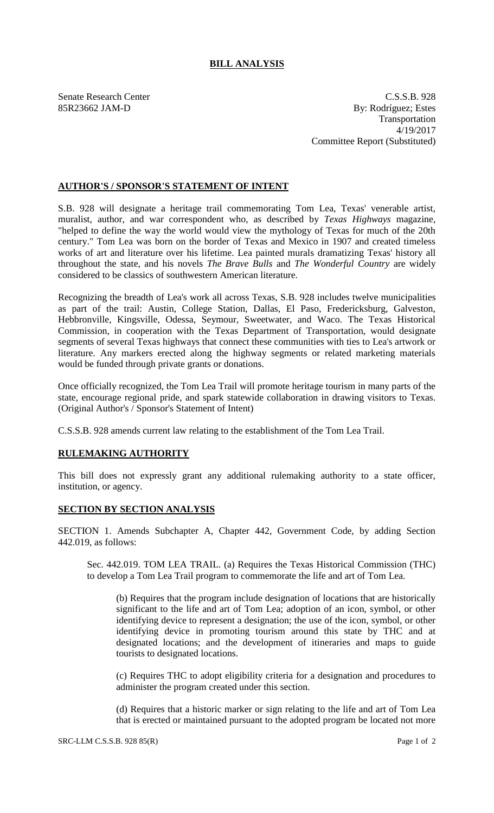## **BILL ANALYSIS**

Senate Research Center C.S.S.B. 928 85R23662 JAM-D By: Rodríguez; Estes Transportation 4/19/2017 Committee Report (Substituted)

## **AUTHOR'S / SPONSOR'S STATEMENT OF INTENT**

S.B. 928 will designate a heritage trail commemorating Tom Lea, Texas' venerable artist, muralist, author, and war correspondent who, as described by *Texas Highways* magazine, "helped to define the way the world would view the mythology of Texas for much of the 20th century." Tom Lea was born on the border of Texas and Mexico in 1907 and created timeless works of art and literature over his lifetime. Lea painted murals dramatizing Texas' history all throughout the state, and his novels *The Brave Bulls* and *The Wonderful Country* are widely considered to be classics of southwestern American literature.

Recognizing the breadth of Lea's work all across Texas, S.B. 928 includes twelve municipalities as part of the trail: Austin, College Station, Dallas, El Paso, Fredericksburg, Galveston, Hebbronville, Kingsville, Odessa, Seymour, Sweetwater, and Waco. The Texas Historical Commission, in cooperation with the Texas Department of Transportation, would designate segments of several Texas highways that connect these communities with ties to Lea's artwork or literature. Any markers erected along the highway segments or related marketing materials would be funded through private grants or donations.

Once officially recognized, the Tom Lea Trail will promote heritage tourism in many parts of the state, encourage regional pride, and spark statewide collaboration in drawing visitors to Texas. (Original Author's / Sponsor's Statement of Intent)

C.S.S.B. 928 amends current law relating to the establishment of the Tom Lea Trail.

## **RULEMAKING AUTHORITY**

This bill does not expressly grant any additional rulemaking authority to a state officer, institution, or agency.

## **SECTION BY SECTION ANALYSIS**

SECTION 1. Amends Subchapter A, Chapter 442, Government Code, by adding Section 442.019, as follows:

Sec. 442.019. TOM LEA TRAIL. (a) Requires the Texas Historical Commission (THC) to develop a Tom Lea Trail program to commemorate the life and art of Tom Lea.

(b) Requires that the program include designation of locations that are historically significant to the life and art of Tom Lea; adoption of an icon, symbol, or other identifying device to represent a designation; the use of the icon, symbol, or other identifying device in promoting tourism around this state by THC and at designated locations; and the development of itineraries and maps to guide tourists to designated locations.

(c) Requires THC to adopt eligibility criteria for a designation and procedures to administer the program created under this section.

(d) Requires that a historic marker or sign relating to the life and art of Tom Lea that is erected or maintained pursuant to the adopted program be located not more